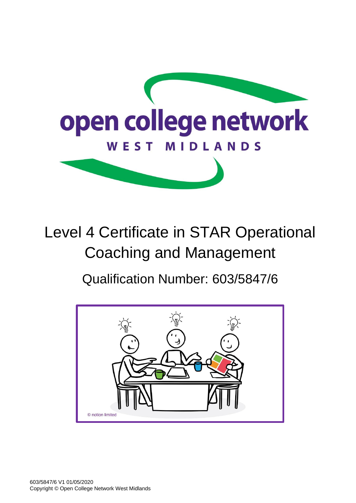

# Level 4 Certificate in STAR Operational Coaching and Management

## Qualification Number: 603/5847/6

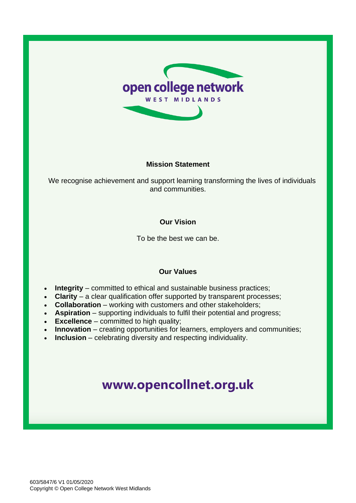

#### **Mission Statement**

We recognise achievement and support learning transforming the lives of individuals and communities.

#### **Our Vision**

To be the best we can be.

#### **Our Values**

- **Integrity** committed to ethical and sustainable business practices;
- **Clarity** a clear qualification offer supported by transparent processes;
- **Collaboration** working with customers and other stakeholders;
- **Aspiration** supporting individuals to fulfil their potential and progress;
- **Excellence** committed to high quality;
- **Innovation** creating opportunities for learners, employers and communities;
- **Inclusion** celebrating diversity and respecting individuality.

### **[www.opencollnet.org.](http://www.ocnwmr.org.uk/)uk**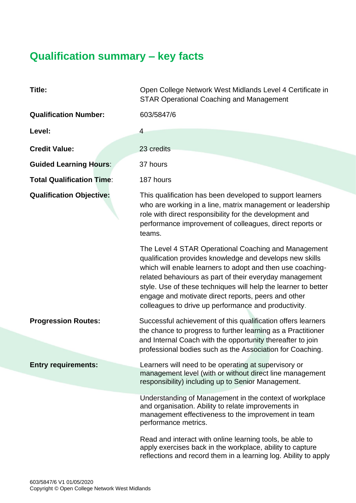### **Qualification summary – key facts**

| Title:                           | Open College Network West Midlands Level 4 Certificate in<br><b>STAR Operational Coaching and Management</b>                                                                                                                                                                                                                                                                                                               |  |
|----------------------------------|----------------------------------------------------------------------------------------------------------------------------------------------------------------------------------------------------------------------------------------------------------------------------------------------------------------------------------------------------------------------------------------------------------------------------|--|
| <b>Qualification Number:</b>     | 603/5847/6                                                                                                                                                                                                                                                                                                                                                                                                                 |  |
| Level:                           | $\overline{4}$                                                                                                                                                                                                                                                                                                                                                                                                             |  |
| <b>Credit Value:</b>             | 23 credits                                                                                                                                                                                                                                                                                                                                                                                                                 |  |
| <b>Guided Learning Hours:</b>    | 37 hours                                                                                                                                                                                                                                                                                                                                                                                                                   |  |
| <b>Total Qualification Time:</b> | 187 hours                                                                                                                                                                                                                                                                                                                                                                                                                  |  |
| <b>Qualification Objective:</b>  | This qualification has been developed to support learners<br>who are working in a line, matrix management or leadership<br>role with direct responsibility for the development and<br>performance improvement of colleagues, direct reports or<br>teams.                                                                                                                                                                   |  |
|                                  | The Level 4 STAR Operational Coaching and Management<br>qualification provides knowledge and develops new skills<br>which will enable learners to adopt and then use coaching-<br>related behaviours as part of their everyday management<br>style. Use of these techniques will help the learner to better<br>engage and motivate direct reports, peers and other<br>colleagues to drive up performance and productivity. |  |
| <b>Progression Routes:</b>       | Successful achievement of this qualification offers learners<br>the chance to progress to further learning as a Practitioner<br>and Internal Coach with the opportunity thereafter to join<br>professional bodies such as the Association for Coaching.                                                                                                                                                                    |  |
| <b>Entry requirements:</b>       | Learners will need to be operating at supervisory or<br>management level (with or without direct line management<br>responsibility) including up to Senior Management.                                                                                                                                                                                                                                                     |  |
|                                  | Understanding of Management in the context of workplace<br>and organisation. Ability to relate improvements in<br>management effectiveness to the improvement in team<br>performance metrics.                                                                                                                                                                                                                              |  |
|                                  | Read and interact with online learning tools, be able to<br>apply exercises back in the workplace, ability to capture<br>reflections and record them in a learning log. Ability to apply                                                                                                                                                                                                                                   |  |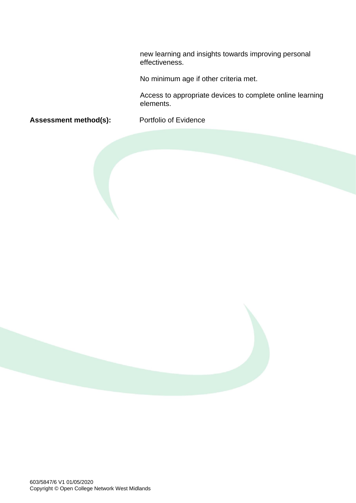new learning and insights towards improving personal effectiveness.

No minimum age if other criteria met.

Access to appropriate devices to complete online learning elements.

Assessment method(s): Portfolio of Evidence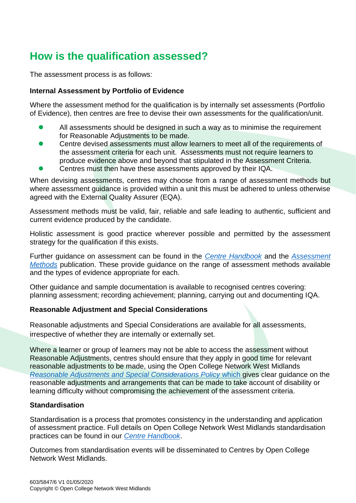### **How is the qualification assessed?**

The assessment process is as follows:

#### **Internal Assessment by Portfolio of Evidence**

Where the assessment method for the qualification is by internally set assessments (Portfolio of Evidence), then centres are free to devise their own assessments for the qualification/unit.

- ⚫ All assessments should be designed in such a way as to minimise the requirement for Reasonable Adjustments to be made.
- ⚫ Centre devised assessments must allow learners to meet all of the requirements of the assessment criteria for each unit. Assessments must not require learners to produce evidence above and beyond that stipulated in the Assessment Criteria.
- ⚫ Centres must then have these assessments approved by their IQA.

When devising assessments, centres may choose from a range of assessment methods but where assessment quidance is provided within a unit this must be adhered to unless otherwise agreed with the External Quality Assurer (EQA).

Assessment methods must be valid, fair, reliable and safe leading to authentic, sufficient and current evidence produced by the candidate.

Holistic assessment is good practice wherever possible and permitted by the assessment strategy for the qualification if this exists.

Further guidance on assessment can be found in the *[Centre Handbook](http://www.opencollnet.org.uk/centres/assessment-and-evidence?search=)* and the *[Assessment](http://www.opencollnet.org.uk/centres/assessment-and-evidence?search=)  [Methods](http://www.opencollnet.org.uk/centres/assessment-and-evidence?search=)* publication. These provide guidance on the range of assessment methods available and the types of evidence appropriate for each.

Other guidance and sample documentation is available to recognised centres covering: planning assessment; recording achievement; planning, carrying out and documenting IQA.

#### **Reasonable Adjustment and Special Considerations**

Reasonable adjustments and Special Considerations are available for all assessments, irrespective of whether they are internally or externally set.

Where a learner or group of learners may not be able to access the assessment without Reasonable Adjustments, centres should ensure that they apply in good time for relevant reasonable adjustments to be made, using the Open College Network West Midlands *[Reasonable Adjustments and Special Considerations Policy](http://www.opencollnet.org.uk/centres/policies-and-procedures?search=)* which gives clear guidance on the reasonable adjustments and arrangements that can be made to take account of disability or learning difficulty without compromising the achievement of the assessment criteria.

#### **Standardisation**

Standardisation is a process that promotes consistency in the understanding and application of assessment practice. Full details on Open College Network West Midlands standardisation practices can be found in our *[Centre Handbook](http://www.opencollnet.org.uk/centres/assessment-and-evidence)*.

Outcomes from standardisation events will be disseminated to Centres by Open College Network West Midlands.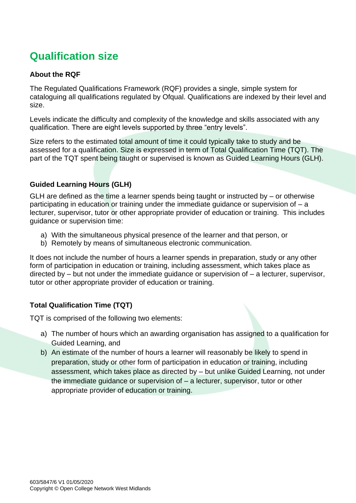### **Qualification size**

#### **About the RQF**

The Regulated Qualifications Framework (RQF) provides a single, simple system for cataloguing all qualifications regulated by Ofqual. Qualifications are indexed by their level and size.

Levels indicate the difficulty and complexity of the knowledge and skills associated with any qualification. There are eight levels supported by three "entry levels".

Size refers to the estimated total amount of time it could typically take to study and be assessed for a qualification. Size is expressed in term of Total Qualification Time (TQT). The part of the TQT spent being taught or supervised is known as Guided Learning Hours (GLH).

#### **Guided Learning Hours (GLH)**

GLH are defined as the time a learner spends being taught or instructed by  $-$  or otherwise participating in education or training under the immediate guidance or supervision of – a lecturer, supervisor, tutor or other appropriate provider of education or training. This includes guidance or supervision time:

- a) With the simultaneous physical presence of the learner and that person, or
- b) Remotely by means of simultaneous electronic communication.

It does not include the number of hours a learner spends in preparation, study or any other form of participation in education or training, including assessment, which takes place as directed by – but not under the immediate guidance or supervision of – a lecturer, supervisor, tutor or other appropriate provider of education or training.

#### **Total Qualification Time (TQT)**

TQT is comprised of the following two elements:

- a) The number of hours which an awarding organisation has assigned to a qualification for Guided Learning, and
- b) An estimate of the number of hours a learner will reasonably be likely to spend in preparation, study or other form of participation in education or training, including assessment, which takes place as directed by – but unlike Guided Learning, not under the immediate guidance or supervision of – a lecturer, supervisor, tutor or other appropriate provider of education or training.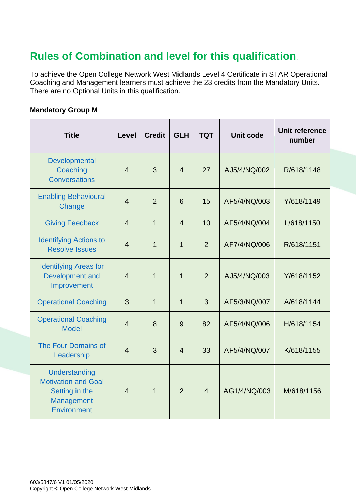### **Rules of Combination and level for this qualification**.

To achieve the Open College Network West Midlands Level 4 Certificate in STAR Operational Coaching and Management learners must achieve the 23 credits from the Mandatory Units. There are no Optional Units in this qualification.

#### **Mandatory Group M**

| <b>Title</b>                                                                                             | Level          | <b>Credit</b>  | <b>GLH</b>     | <b>TQT</b>     | <b>Unit code</b> | Unit reference<br>number |
|----------------------------------------------------------------------------------------------------------|----------------|----------------|----------------|----------------|------------------|--------------------------|
| Developmental<br>Coaching<br><b>Conversations</b>                                                        | $\overline{4}$ | 3              | $\overline{4}$ | 27             | AJ5/4/NQ/002     | R/618/1148               |
| <b>Enabling Behavioural</b><br>Change                                                                    | $\overline{4}$ | $\overline{2}$ | 6              | 15             | AF5/4/NQ/003     | Y/618/1149               |
| <b>Giving Feedback</b>                                                                                   | $\overline{4}$ | $\mathbf{1}$   | $\overline{4}$ | 10             | AF5/4/NQ/004     | L/618/1150               |
| <b>Identifying Actions to</b><br><b>Resolve Issues</b>                                                   | $\overline{4}$ | 1              | $\overline{1}$ | $\overline{2}$ | AF7/4/NQ/006     | R/618/1151               |
| <b>Identifying Areas for</b><br>Development and<br>Improvement                                           | $\overline{4}$ | $\overline{1}$ | 1              | $\overline{2}$ | AJ5/4/NQ/003     | Y/618/1152               |
| <b>Operational Coaching</b>                                                                              | 3              | $\mathbf{1}$   | $\mathbf 1$    | 3              | AF5/3/NQ/007     | A/618/1144               |
| <b>Operational Coaching</b><br><b>Model</b>                                                              | $\overline{4}$ | 8              | 9              | 82             | AF5/4/NQ/006     | H/618/1154               |
| The Four Domains of<br>Leadership                                                                        | $\overline{4}$ | 3              | $\overline{4}$ | 33             | AF5/4/NQ/007     | K/618/1155               |
| Understanding<br><b>Motivation and Goal</b><br>Setting in the<br><b>Management</b><br><b>Environment</b> | $\overline{4}$ | $\mathbf{1}$   | $\overline{2}$ | $\overline{4}$ | AG1/4/NQ/003     | M/618/1156               |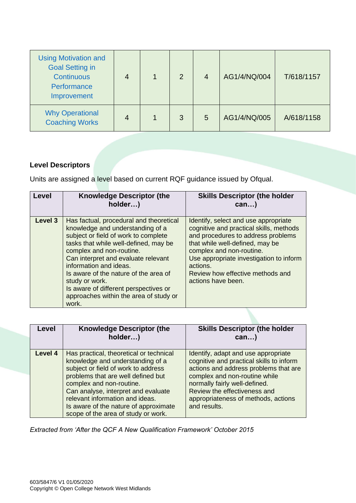| <b>Using Motivation and</b><br><b>Goal Setting in</b><br><b>Continuous</b><br>Performance<br>Improvement | 4 | 2 | $\overline{4}$ | AG1/4/NQ/004 | T/618/1157 |
|----------------------------------------------------------------------------------------------------------|---|---|----------------|--------------|------------|
| <b>Why Operational</b><br><b>Coaching Works</b>                                                          | 4 | 3 | 5              | AG1/4/NQ/005 | A/618/1158 |

#### **Level Descriptors**

Units are assigned a level based on current RQF guidance issued by Ofqual.

| Level   | <b>Knowledge Descriptor (the</b><br>holder)                                                                                                                                                                                                                                                                                                                                                                      | <b>Skills Descriptor (the holder</b><br>$can$ )                                                                                                                                                                                                                                                       |
|---------|------------------------------------------------------------------------------------------------------------------------------------------------------------------------------------------------------------------------------------------------------------------------------------------------------------------------------------------------------------------------------------------------------------------|-------------------------------------------------------------------------------------------------------------------------------------------------------------------------------------------------------------------------------------------------------------------------------------------------------|
| Level 3 | Has factual, procedural and theoretical<br>knowledge and understanding of a<br>subject or field of work to complete<br>tasks that while well-defined, may be<br>complex and non-routine.<br>Can interpret and evaluate relevant<br>information and ideas.<br>Is aware of the nature of the area of<br>study or work.<br>Is aware of different perspectives or<br>approaches within the area of study or<br>work. | Identify, select and use appropriate<br>cognitive and practical skills, methods<br>and procedures to address problems<br>that while well-defined, may be<br>complex and non-routine.<br>Use appropriate investigation to inform<br>actions.<br>Review how effective methods and<br>actions have been. |

| Level   | <b>Knowledge Descriptor (the</b><br>holder)                                                                                                                                                                                                                                                                                                    | <b>Skills Descriptor (the holder</b><br>$can$ )                                                                                                                                                                                                                                   |
|---------|------------------------------------------------------------------------------------------------------------------------------------------------------------------------------------------------------------------------------------------------------------------------------------------------------------------------------------------------|-----------------------------------------------------------------------------------------------------------------------------------------------------------------------------------------------------------------------------------------------------------------------------------|
| Level 4 | Has practical, theoretical or technical<br>knowledge and understanding of a<br>subject or field of work to address<br>problems that are well defined but<br>complex and non-routine.<br>Can analyse, interpret and evaluate<br>relevant information and ideas.<br>Is aware of the nature of approximate<br>scope of the area of study or work. | Identify, adapt and use appropriate<br>cognitive and practical skills to inform<br>actions and address problems that are<br>complex and non-routine while<br>normally fairly well-defined.<br>Review the effectiveness and<br>appropriateness of methods, actions<br>and results. |

*Extracted from 'After the QCF A New Qualification Framework' October 2015*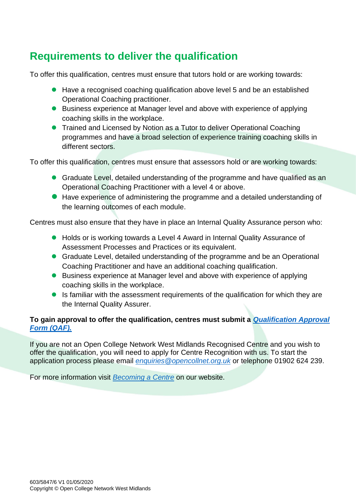### **Requirements to deliver the qualification**

To offer this qualification, centres must ensure that tutors hold or are working towards:

- Have a recognised coaching qualification above level 5 and be an established Operational Coaching practitioner.
- Business experience at Manager level and above with experience of applying coaching skills in the workplace.
- Trained and Licensed by Notion as a Tutor to deliver Operational Coaching programmes and have a broad selection of experience training coaching skills in different sectors.

To offer this qualification, centres must ensure that assessors hold or are working towards:

- Graduate Level, detailed understanding of the programme and have qualified as an Operational Coaching Practitioner with a level 4 or above.
- Have experience of administering the programme and a detailed understanding of the learning outcomes of each module.

Centres must also ensure that they have in place an Internal Quality Assurance person who:

- Holds or is working towards a Level 4 Award in Internal Quality Assurance of Assessment Processes and Practices or its equivalent.
- Graduate Level, detailed understanding of the programme and be an Operational Coaching Practitioner and have an additional coaching qualification.
- Business experience at Manager level and above with experience of applying coaching skills in the workplace.
- Is familiar with the assessment requirements of the qualification for which they are the Internal Quality Assurer.

#### **To gain approval to offer the qualification, centres must submit a** *[Qualification Approval](https://www.opencollnet.org.uk/qualifications/qualification-approval)  [Form \(QAF\).](https://www.opencollnet.org.uk/qualifications/qualification-approval)*

If you are not an Open College Network West Midlands Recognised Centre and you wish to offer the qualification, you will need to apply for Centre Recognition with us. To start the application process please email *[enquiries@opencollnet.org.uk](mailto:enquiries@opencollnet.org.uk)* or telephone 01902 624 239.

For more information visit *[Becoming a Centre](http://www.opencollnet.org.uk/centres/becoming-a-centre)* on our website.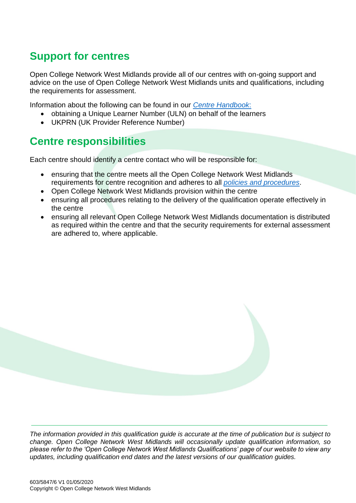### **Support for centres**

Open College Network West Midlands provide all of our centres with on-going support and advice on the use of Open College Network West Midlands units and qualifications, including the requirements for assessment.

Information about the following can be found in our *[Centre Handbook](http://www.opencollnet.org.uk/centres/assessment-and-evidence)*:

- obtaining a Unique Learner Number (ULN) on behalf of the learners
- UKPRN (UK Provider Reference Number)

### **Centre responsibilities**

Each centre should identify a centre contact who will be responsible for:

- ensuring that the centre meets all the Open College Network West Midlands requirements for centre recognition and adheres to all *[policies and procedures](http://www.opencollnet.org.uk/centres/policies-and-procedures)*.
- Open College Network West Midlands provision within the centre
- ensuring all procedures relating to the delivery of the qualification operate effectively in the centre
- ensuring all relevant Open College Network West Midlands documentation is distributed as required within the centre and that the security requirements for external assessment are adhered to, where applicable.



*The information provided in this qualification guide is accurate at the time of publication but is subject to change. Open College Network West Midlands will occasionally update qualification information, so please refer to the 'Open College Network West Midlands Qualifications' page of our website to view any updates, including qualification end dates and the latest versions of our qualification guides.*